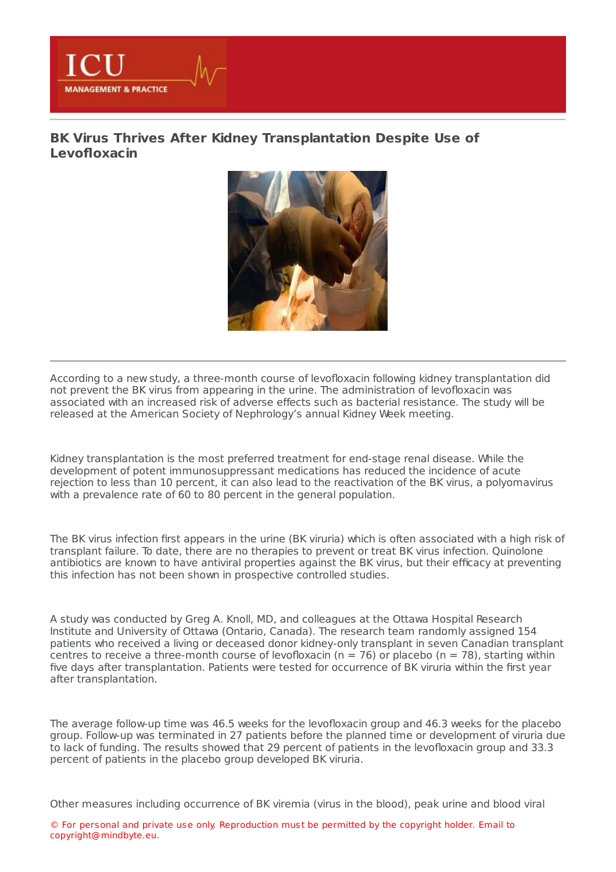

**MANAGEMENT & PRACTICE** 



According to a new study, a three-month course of levofloxacin following kidney transplantation did not prevent the BK virus from appearing in the urine. The administration of levofloxacin was associated with an increased risk of adverse effects such as bacterial resistance. The study will be released at the American Society of Nephrology's annual Kidney Week meeting.

Kidney transplantation is the most preferred treatment for end-stage renal disease. While the development of potent immunosuppressant medications has reduced the incidence of acute rejection to less than 10 percent, it can also lead to the reactivation of the BK virus, a polyomavirus with a prevalence rate of 60 to 80 percent in the general population.

The BK virus infection first appears in the urine (BK viruria) which is often associated with a high risk of transplant failure. To date, there are no therapies to prevent or treat BK virus infection. Quinolone antibiotics are known to have antiviral properties against the BK virus, but their efficacy at preventing this infection has not been shown in prospective controlled studies.

A study was conducted by Greg A. Knoll, MD, and colleagues at the Ottawa Hospital Research Institute and University of Ottawa (Ontario, Canada). The research team randomly assigned 154 patients who received a living or deceased donor kidney-only transplant in seven Canadian transplant centres to receive a three-month course of levofloxacin ( $n = 76$ ) or placebo ( $n = 78$ ), starting within five days after transplantation. Patients were tested for occurrence of BK viruria within the first year after transplantation.

The average follow-up time was 46.5 weeks for the levofloxacin group and 46.3 weeks for the placebo group. Follow-up was terminated in 27 patients before the planned time or development of viruria due to lack of funding. The results showed that 29 percent of patients in the levofloxacin group and 33.3 percent of patients in the placebo group developed BK viruria.

Other measures including occurrence of BK viremia (virus in the blood), peak urine and blood viral

© For personal and private use only. Reproduction must be permitted by the copyright holder. Email to copyright@mindbyte.eu.